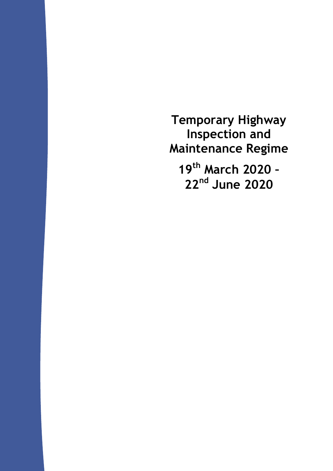**Temporary Highway Inspection and Maintenance Regime** 

**19th March 2020 – 22nd June 2020**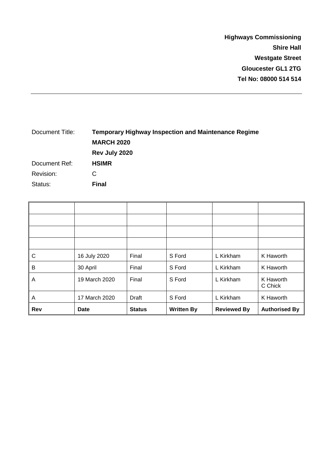**Highways Commissioning Shire Hall Westgate Street Gloucester GL1 2TG Tel No: 08000 514 514**

## Document Title: **Temporary Highway Inspection and Maintenance Regime MARCH 2020 Rev July 2020** Document Ref: **HSIMR** Revision: C Status: **Final**

| С   | 16 July 2020  | Final         | S Ford            | L Kirkham          | K Haworth            |
|-----|---------------|---------------|-------------------|--------------------|----------------------|
| В   | 30 April      | Final         | S Ford            | L Kirkham          | K Haworth            |
| A   | 19 March 2020 | Final         | S Ford            | L Kirkham          | K Haworth<br>C Chick |
| A   | 17 March 2020 | Draft         | S Ford            | L Kirkham          | K Haworth            |
| Rev | <b>Date</b>   | <b>Status</b> | <b>Written By</b> | <b>Reviewed By</b> | <b>Authorised By</b> |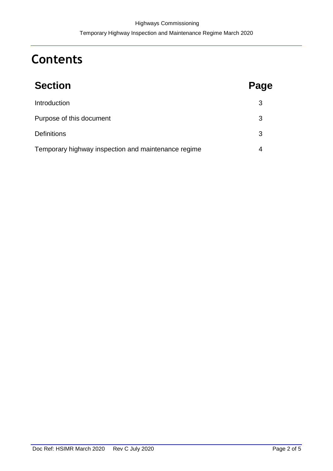# **Contents**

| <b>Section</b>                                      | Page |
|-----------------------------------------------------|------|
| Introduction                                        | 3    |
| Purpose of this document                            | 3    |
| <b>Definitions</b>                                  | 3    |
| Temporary highway inspection and maintenance regime | 4    |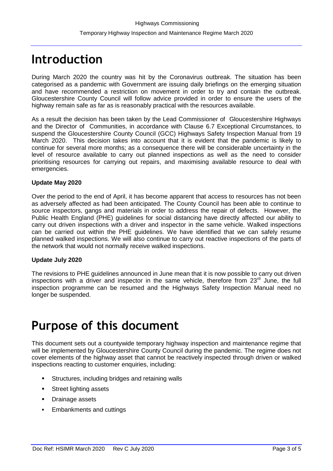# **Introduction**

During March 2020 the country was hit by the Coronavirus outbreak. The situation has been categorised as a pandemic with Government are issuing daily briefings on the emerging situation and have recommended a restriction on movement in order to try and contain the outbreak. Gloucestershire County Council will follow advice provided in order to ensure the users of the highway remain safe as far as is reasonably practical with the resources available.

As a result the decision has been taken by the Lead Commissioner of Gloucestershire Highways and the Director of Communities, in accordance with Clause 6.7 Exceptional Circumstances, to suspend the Gloucestershire County Council (GCC) Highways Safety Inspection Manual from 19 March 2020. This decision takes into account that it is evident that the pandemic is likely to continue for several more months; as a consequence there will be considerable uncertainty in the level of resource available to carry out planned inspections as well as the need to consider prioritising resources for carrying out repairs, and maximising available resource to deal with emergencies.

### **Update May 2020**

Over the period to the end of April, it has become apparent that access to resources has not been as adversely affected as had been anticipated. The County Council has been able to continue to source inspectors, gangs and materials in order to address the repair of defects. However, the Public Health England (PHE) guidelines for social distancing have directly affected our ability to carry out driven inspections with a driver and inspector in the same vehicle. Walked inspections can be carried out within the PHE guidelines. We have identified that we can safely resume planned walked inspections. We will also continue to carry out reactive inspections of the parts of the network that would not normally receive walked inspections.

### **Update July 2020**

The revisions to PHE guidelines announced in June mean that it is now possible to carry out driven inspections with a driver and inspector in the same vehicle, therefore from  $23<sup>rd</sup>$  June, the full inspection programme can be resumed and the Highways Safety Inspection Manual need no longer be suspended.

# **Purpose of this document**

This document sets out a countywide temporary highway inspection and maintenance regime that will be implemented by Gloucestershire County Council during the pandemic. The regime does not cover elements of the highway asset that cannot be reactively inspected through driven or walked inspections reacting to customer enquiries, including:

- **EXECUTE:** Structures, including bridges and retaining walls
- **Street lighting assets**
- **•** Drainage assets
- Embankments and cuttings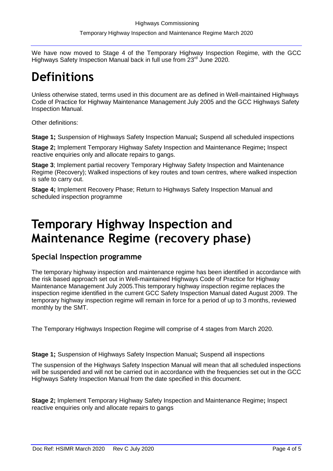We have now moved to Stage 4 of the Temporary Highway Inspection Regime, with the GCC Highways Safety Inspection Manual back in full use from 23<sup>rd</sup> June 2020.

# **Definitions**

Unless otherwise stated, terms used in this document are as defined in Well-maintained Highways Code of Practice for Highway Maintenance Management July 2005 and the GCC Highways Safety Inspection Manual.

Other definitions:

**Stage 1;** Suspension of Highways Safety Inspection Manual**;** Suspend all scheduled inspections

**Stage 2;** Implement Temporary Highway Safety Inspection and Maintenance Regime**;** Inspect reactive enquiries only and allocate repairs to gangs.

**Stage 3**; Implement partial recovery Temporary Highway Safety Inspection and Maintenance Regime (Recovery); Walked inspections of key routes and town centres, where walked inspection is safe to carry out.

**Stage 4;** Implement Recovery Phase; Return to Highways Safety Inspection Manual and scheduled inspection programme

# **Temporary Highway Inspection and Maintenance Regime (recovery phase)**

### **Special Inspection programme**

The temporary highway inspection and maintenance regime has been identified in accordance with the risk based approach set out in Well-maintained Highways Code of Practice for Highway Maintenance Management July 2005.This temporary highway inspection regime replaces the inspection regime identified in the current GCC Safety Inspection Manual dated August 2009. The temporary highway inspection regime will remain in force for a period of up to 3 months, reviewed monthly by the SMT.

The Temporary Highways Inspection Regime will comprise of 4 stages from March 2020.

**Stage 1;** Suspension of Highways Safety Inspection Manual**;** Suspend all inspections

The suspension of the Highways Safety Inspection Manual will mean that all scheduled inspections will be suspended and will not be carried out in accordance with the frequencies set out in the GCC Highways Safety Inspection Manual from the date specified in this document.

**Stage 2;** Implement Temporary Highway Safety Inspection and Maintenance Regime**;** Inspect reactive enquiries only and allocate repairs to gangs